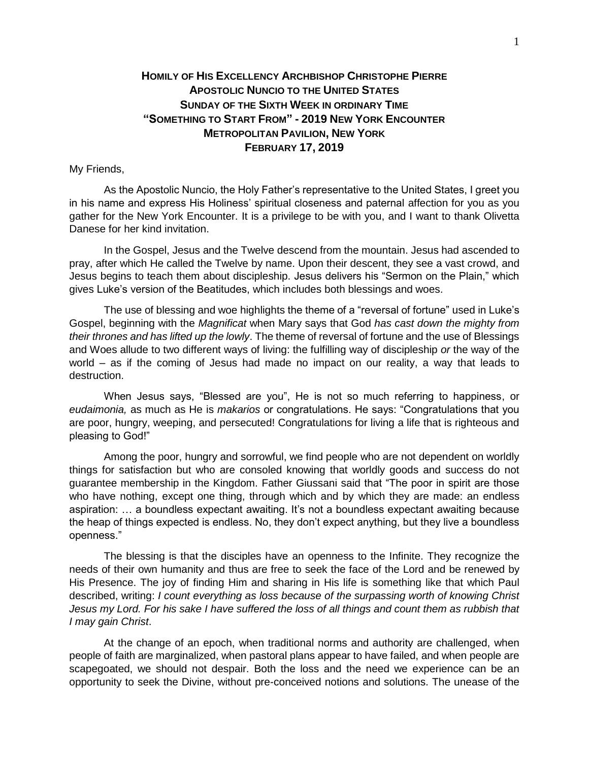## **HOMILY OF HIS EXCELLENCY ARCHBISHOP CHRISTOPHE PIERRE APOSTOLIC NUNCIO TO THE UNITED STATES SUNDAY OF THE SIXTH WEEK IN ORDINARY TIME "SOMETHING TO START FROM" - 2019 NEW YORK ENCOUNTER METROPOLITAN PAVILION, NEW YORK FEBRUARY 17, 2019**

## My Friends,

As the Apostolic Nuncio, the Holy Father's representative to the United States, I greet you in his name and express His Holiness' spiritual closeness and paternal affection for you as you gather for the New York Encounter. It is a privilege to be with you, and I want to thank Olivetta Danese for her kind invitation.

In the Gospel, Jesus and the Twelve descend from the mountain. Jesus had ascended to pray, after which He called the Twelve by name. Upon their descent, they see a vast crowd, and Jesus begins to teach them about discipleship. Jesus delivers his "Sermon on the Plain," which gives Luke's version of the Beatitudes, which includes both blessings and woes.

The use of blessing and woe highlights the theme of a "reversal of fortune" used in Luke's Gospel, beginning with the *Magnificat* when Mary says that God *has cast down the mighty from their thrones and has lifted up the lowly*. The theme of reversal of fortune and the use of Blessings and Woes allude to two different ways of living: the fulfilling way of discipleship *or* the way of the world – as if the coming of Jesus had made no impact on our reality, a way that leads to destruction.

When Jesus says, "Blessed are you", He is not so much referring to happiness, or *eudaimonia,* as much as He is *makarios* or congratulations. He says: "Congratulations that you are poor, hungry, weeping, and persecuted! Congratulations for living a life that is righteous and pleasing to God!"

Among the poor, hungry and sorrowful, we find people who are not dependent on worldly things for satisfaction but who are consoled knowing that worldly goods and success do not guarantee membership in the Kingdom. Father Giussani said that "The poor in spirit are those who have nothing, except one thing, through which and by which they are made: an endless aspiration: … a boundless expectant awaiting. It's not a boundless expectant awaiting because the heap of things expected is endless. No, they don't expect anything, but they live a boundless openness."

The blessing is that the disciples have an openness to the Infinite. They recognize the needs of their own humanity and thus are free to seek the face of the Lord and be renewed by His Presence. The joy of finding Him and sharing in His life is something like that which Paul described, writing: *I count everything as loss because of the surpassing worth of knowing Christ*  Jesus my Lord. For his sake I have suffered the loss of all things and count them as rubbish that *I may gain Christ*.

At the change of an epoch, when traditional norms and authority are challenged, when people of faith are marginalized, when pastoral plans appear to have failed, and when people are scapegoated, we should not despair. Both the loss and the need we experience can be an opportunity to seek the Divine, without pre-conceived notions and solutions. The unease of the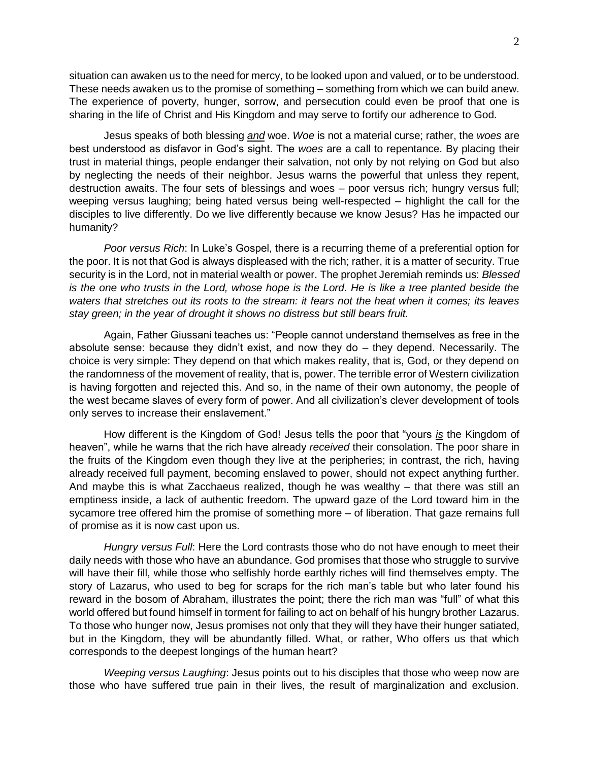situation can awaken us to the need for mercy, to be looked upon and valued, or to be understood. These needs awaken us to the promise of something – something from which we can build anew. The experience of poverty, hunger, sorrow, and persecution could even be proof that one is sharing in the life of Christ and His Kingdom and may serve to fortify our adherence to God.

Jesus speaks of both blessing *and* woe. *Woe* is not a material curse; rather, the *woes* are best understood as disfavor in God's sight. The *woes* are a call to repentance. By placing their trust in material things, people endanger their salvation, not only by not relying on God but also by neglecting the needs of their neighbor. Jesus warns the powerful that unless they repent, destruction awaits. The four sets of blessings and woes – poor versus rich; hungry versus full; weeping versus laughing; being hated versus being well-respected – highlight the call for the disciples to live differently. Do we live differently because we know Jesus? Has he impacted our humanity?

*Poor versus Rich*: In Luke's Gospel, there is a recurring theme of a preferential option for the poor. It is not that God is always displeased with the rich; rather, it is a matter of security. True security is in the Lord, not in material wealth or power. The prophet Jeremiah reminds us: *Blessed is the one who trusts in the Lord, whose hope is the Lord. He is like a tree planted beside the waters that stretches out its roots to the stream: it fears not the heat when it comes; its leaves stay green; in the year of drought it shows no distress but still bears fruit.*

Again, Father Giussani teaches us: "People cannot understand themselves as free in the absolute sense: because they didn't exist, and now they do  $-$  they depend. Necessarily. The choice is very simple: They depend on that which makes reality, that is, God, or they depend on the randomness of the movement of reality, that is, power. The terrible error of Western civilization is having forgotten and rejected this. And so, in the name of their own autonomy, the people of the west became slaves of every form of power. And all civilization's clever development of tools only serves to increase their enslavement."

How different is the Kingdom of God! Jesus tells the poor that "yours *is* the Kingdom of heaven", while he warns that the rich have already *received* their consolation. The poor share in the fruits of the Kingdom even though they live at the peripheries; in contrast, the rich, having already received full payment, becoming enslaved to power, should not expect anything further. And maybe this is what Zacchaeus realized, though he was wealthy – that there was still an emptiness inside, a lack of authentic freedom. The upward gaze of the Lord toward him in the sycamore tree offered him the promise of something more – of liberation. That gaze remains full of promise as it is now cast upon us.

*Hungry versus Full*: Here the Lord contrasts those who do not have enough to meet their daily needs with those who have an abundance. God promises that those who struggle to survive will have their fill, while those who selfishly horde earthly riches will find themselves empty. The story of Lazarus, who used to beg for scraps for the rich man's table but who later found his reward in the bosom of Abraham, illustrates the point; there the rich man was "full" of what this world offered but found himself in torment for failing to act on behalf of his hungry brother Lazarus. To those who hunger now, Jesus promises not only that they will they have their hunger satiated, but in the Kingdom, they will be abundantly filled. What, or rather, Who offers us that which corresponds to the deepest longings of the human heart?

*Weeping versus Laughing*: Jesus points out to his disciples that those who weep now are those who have suffered true pain in their lives, the result of marginalization and exclusion.